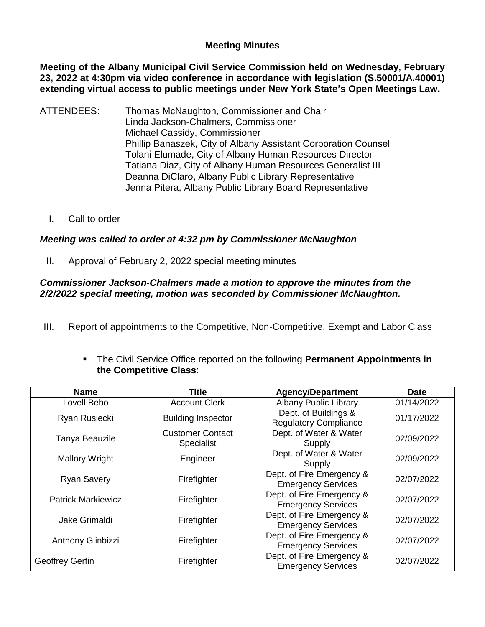## **Meeting Minutes**

**Meeting of the Albany Municipal Civil Service Commission held on Wednesday, February 23, 2022 at 4:30pm via video conference in accordance with legislation (S.50001/A.40001) extending virtual access to public meetings under New York State's Open Meetings Law.** 

- ATTENDEES: Thomas McNaughton, Commissioner and Chair Linda Jackson-Chalmers, Commissioner Michael Cassidy, Commissioner Phillip Banaszek, City of Albany Assistant Corporation Counsel Tolani Elumade, City of Albany Human Resources Director Tatiana Diaz, City of Albany Human Resources Generalist III Deanna DiClaro, Albany Public Library Representative Jenna Pitera, Albany Public Library Board Representative
	- I. Call to order

# *Meeting was called to order at 4:32 pm by Commissioner McNaughton*

II. Approval of February 2, 2022 special meeting minutes

#### *Commissioner Jackson-Chalmers made a motion to approve the minutes from the 2/2/2022 special meeting, motion was seconded by Commissioner McNaughton.*

III. Report of appointments to the Competitive, Non-Competitive, Exempt and Labor Class

| <b>Name</b>               | <b>Title</b>                          | <b>Agency/Department</b>                               | <b>Date</b> |
|---------------------------|---------------------------------------|--------------------------------------------------------|-------------|
| Lovell Bebo               | <b>Account Clerk</b>                  | <b>Albany Public Library</b>                           | 01/14/2022  |
| Ryan Rusiecki             | <b>Building Inspector</b>             | Dept. of Buildings &<br><b>Regulatory Compliance</b>   | 01/17/2022  |
| Tanya Beauzile            | <b>Customer Contact</b><br>Specialist | Dept. of Water & Water<br>Supply                       | 02/09/2022  |
| <b>Mallory Wright</b>     | Engineer                              | Dept. of Water & Water<br>Supply                       | 02/09/2022  |
| <b>Ryan Savery</b>        | Firefighter                           | Dept. of Fire Emergency &<br><b>Emergency Services</b> | 02/07/2022  |
| <b>Patrick Markiewicz</b> | Firefighter                           | Dept. of Fire Emergency &<br><b>Emergency Services</b> | 02/07/2022  |
| Jake Grimaldi             | Firefighter                           | Dept. of Fire Emergency &<br><b>Emergency Services</b> | 02/07/2022  |
| Anthony Glinbizzi         | Firefighter                           | Dept. of Fire Emergency &<br><b>Emergency Services</b> | 02/07/2022  |
| Geoffrey Gerfin           | Firefighter                           | Dept. of Fire Emergency &<br><b>Emergency Services</b> | 02/07/2022  |

 The Civil Service Office reported on the following **Permanent Appointments in the Competitive Class**: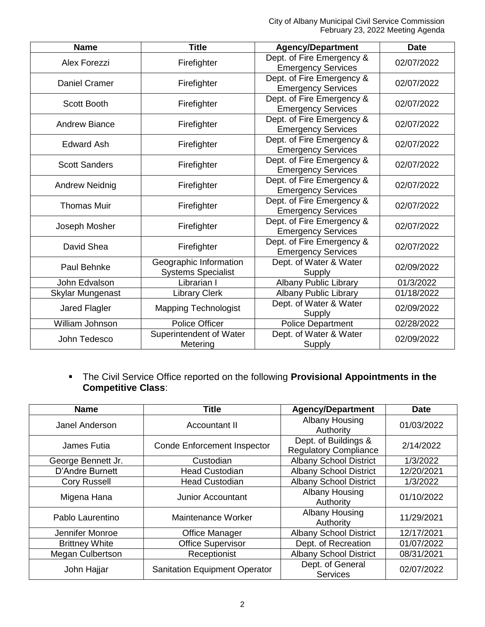City of Albany Municipal Civil Service Commission February 23, 2022 Meeting Agenda

| <b>Name</b>           | <b>Title</b>                                        | <b>Agency/Department</b>                               | <b>Date</b> |
|-----------------------|-----------------------------------------------------|--------------------------------------------------------|-------------|
| Alex Forezzi          | Firefighter                                         | Dept. of Fire Emergency &<br><b>Emergency Services</b> | 02/07/2022  |
| <b>Daniel Cramer</b>  | Firefighter                                         | Dept. of Fire Emergency &<br><b>Emergency Services</b> | 02/07/2022  |
| Scott Booth           | Firefighter                                         | Dept. of Fire Emergency &<br><b>Emergency Services</b> | 02/07/2022  |
| <b>Andrew Biance</b>  | Firefighter                                         | Dept. of Fire Emergency &<br><b>Emergency Services</b> | 02/07/2022  |
| <b>Edward Ash</b>     | Firefighter                                         | Dept. of Fire Emergency &<br><b>Emergency Services</b> | 02/07/2022  |
| <b>Scott Sanders</b>  | Firefighter                                         | Dept. of Fire Emergency &<br><b>Emergency Services</b> | 02/07/2022  |
| <b>Andrew Neidnig</b> | Firefighter                                         | Dept. of Fire Emergency &<br><b>Emergency Services</b> | 02/07/2022  |
| <b>Thomas Muir</b>    | Firefighter                                         | Dept. of Fire Emergency &<br><b>Emergency Services</b> | 02/07/2022  |
| Joseph Mosher         | Firefighter                                         | Dept. of Fire Emergency &<br><b>Emergency Services</b> | 02/07/2022  |
| David Shea            | Firefighter                                         | Dept. of Fire Emergency &<br><b>Emergency Services</b> | 02/07/2022  |
| Paul Behnke           | Geographic Information<br><b>Systems Specialist</b> | Dept. of Water & Water<br>Supply                       | 02/09/2022  |
| John Edvalson         | Librarian I                                         | Albany Public Library                                  | 01/3/2022   |
| Skylar Mungenast      | <b>Library Clerk</b>                                | <b>Albany Public Library</b>                           | 01/18/2022  |
| Jared Flagler         | <b>Mapping Technologist</b>                         | Dept. of Water & Water<br>Supply                       | 02/09/2022  |
| William Johnson       | Police Officer                                      | <b>Police Department</b>                               | 02/28/2022  |
| John Tedesco          | Superintendent of Water<br>Metering                 | Dept. of Water & Water<br>Supply                       | 02/09/2022  |

 The Civil Service Office reported on the following **Provisional Appointments in the Competitive Class**:

| <b>Name</b>             | <b>Agency/Department</b><br><b>Title</b>                                                   |                                     | <b>Date</b> |
|-------------------------|--------------------------------------------------------------------------------------------|-------------------------------------|-------------|
| Janel Anderson          | Accountant II                                                                              | <b>Albany Housing</b><br>Authority  | 01/03/2022  |
| James Futia             | Dept. of Buildings &<br><b>Conde Enforcement Inspector</b><br><b>Regulatory Compliance</b> |                                     | 2/14/2022   |
| George Bennett Jr.      | Custodian                                                                                  | <b>Albany School District</b>       | 1/3/2022    |
| D'Andre Burnett         | <b>Head Custodian</b>                                                                      | <b>Albany School District</b>       | 12/20/2021  |
| <b>Cory Russell</b>     | <b>Head Custodian</b>                                                                      | <b>Albany School District</b>       | 1/3/2022    |
| Migena Hana             | Junior Accountant                                                                          | <b>Albany Housing</b><br>Authority  | 01/10/2022  |
| Pablo Laurentino        | Maintenance Worker                                                                         | Albany Housing<br>Authority         | 11/29/2021  |
| Jennifer Monroe         | <b>Office Manager</b>                                                                      | <b>Albany School District</b>       | 12/17/2021  |
| <b>Brittney White</b>   | <b>Office Supervisor</b>                                                                   | Dept. of Recreation                 | 01/07/2022  |
| <b>Megan Culbertson</b> | Receptionist                                                                               | <b>Albany School District</b>       | 08/31/2021  |
| John Hajjar             | <b>Sanitation Equipment Operator</b>                                                       | Dept. of General<br><b>Services</b> | 02/07/2022  |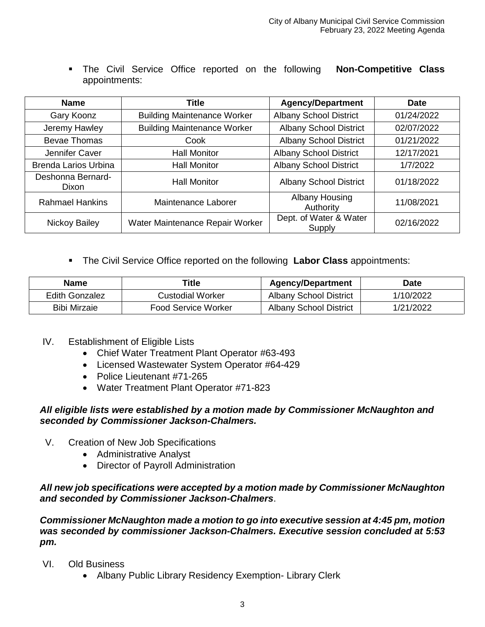The Civil Service Office reported on the following **Non-Competitive Class** appointments:

| <b>Name</b>                | <b>Title</b>                       | <b>Agency/Department</b>         | <b>Date</b> |
|----------------------------|------------------------------------|----------------------------------|-------------|
| Gary Koonz                 | <b>Building Maintenance Worker</b> | <b>Albany School District</b>    | 01/24/2022  |
| Jeremy Hawley              | <b>Building Maintenance Worker</b> | <b>Albany School District</b>    | 02/07/2022  |
| <b>Bevae Thomas</b>        | Cook                               | <b>Albany School District</b>    | 01/21/2022  |
| Jennifer Caver             | <b>Hall Monitor</b>                | <b>Albany School District</b>    | 12/17/2021  |
| Brenda Larios Urbina       | <b>Hall Monitor</b>                | <b>Albany School District</b>    | 1/7/2022    |
| Deshonna Bernard-<br>Dixon | <b>Hall Monitor</b>                | <b>Albany School District</b>    | 01/18/2022  |
| <b>Rahmael Hankins</b>     | Maintenance Laborer                | Albany Housing<br>Authority      | 11/08/2021  |
| <b>Nickoy Bailey</b>       | Water Maintenance Repair Worker    | Dept. of Water & Water<br>Supply | 02/16/2022  |

The Civil Service Office reported on the following **Labor Class** appointments:

| <b>Name</b>           | Title                      | <b>Agency/Department</b>      | Date      |
|-----------------------|----------------------------|-------------------------------|-----------|
| <b>Edith Gonzalez</b> | Custodial Worker           | <b>Albany School District</b> | 1/10/2022 |
| Bibi Mirzaie          | <b>Food Service Worker</b> | <b>Albany School District</b> | 1/21/2022 |

- IV. Establishment of Eligible Lists
	- Chief Water Treatment Plant Operator #63-493
	- Licensed Wastewater System Operator #64-429
	- Police Lieutenant #71-265
	- Water Treatment Plant Operator #71-823

### *All eligible lists were established by a motion made by Commissioner McNaughton and seconded by Commissioner Jackson-Chalmers.*

- V. Creation of New Job Specifications
	- Administrative Analyst
	- Director of Payroll Administration

### *All new job specifications were accepted by a motion made by Commissioner McNaughton and seconded by Commissioner Jackson-Chalmers*.

*Commissioner McNaughton made a motion to go into executive session at 4:45 pm, motion was seconded by commissioner Jackson-Chalmers. Executive session concluded at 5:53 pm.* 

- VI. Old Business
	- Albany Public Library Residency Exemption- Library Clerk